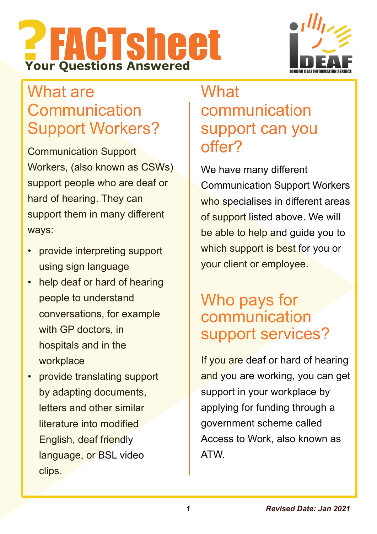



# What are **Communication** Support Workers?

Communication Support Workers, (also known as CSWs) support people who are deaf or hard of hearing. They can support them in many different ways:

- provide interpreting support using sign language
- help deaf or hard of hearing people to understand conversations, for example with GP doctors, in hospitals and in the workplace
- provide translating support by adapting documents, letters and other similar literature into modified English, deaf friendly language, or BSL video clips.

## **What** communication support can you offer?

We have many different Communication Support Workers who specialises in different areas of support listed above. We will be able to help and guide you to which support is best for you or your client or employee.

## Who pays for communication support services?

If you are deaf or hard of hearing and you are working, you can get support in your workplace by applying for funding through a government scheme called Access to Work, also known as ATW.